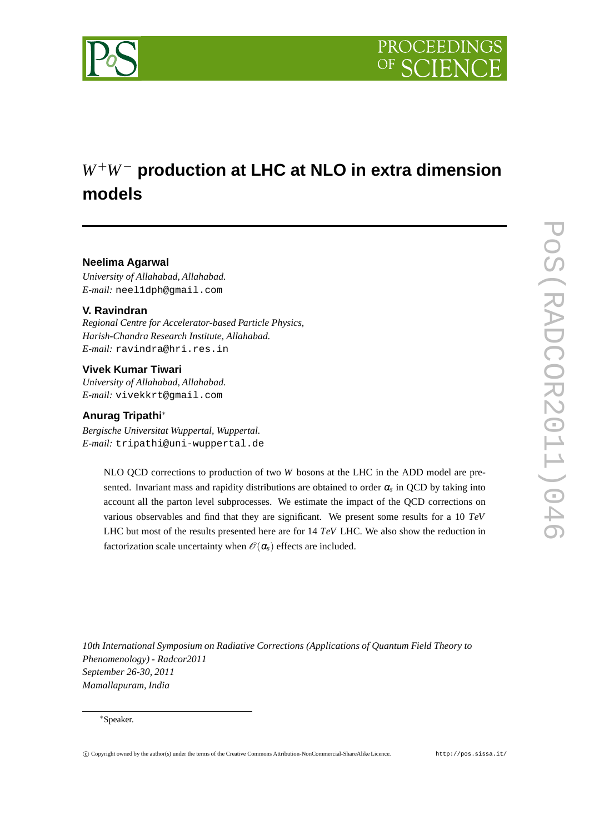

# *W*<sup>+</sup>*W*<sup>−</sup> **production at LHC at NLO in extra dimension models**

## **Neelima Agarwal**

*University of Allahabad, Allahabad. E-mail:* neel1dph@gmail.com

## **V. Ravindran**

*Regional Centre for Accelerator-based Particle Physics, Harish-Chandra Research Institute, Allahabad. E-mail:* ravindra@hri.res.in

## **Vivek Kumar Tiwari**

*University of Allahabad, Allahabad. E-mail:* vivekkrt@gmail.com

### **Anurag Tripathi**∗

*Bergische Universitat Wuppertal, Wuppertal. E-mail:* tripathi@uni-wuppertal.de

> NLO QCD corrections to production of two *W* bosons at the LHC in the ADD model are presented. Invariant mass and rapidity distributions are obtained to order <sup>α</sup>*<sup>s</sup>* in QCD by taking into account all the parton level subprocesses. We estimate the impact of the QCD corrections on various observables and find that they are significant. We present some results for a 10 *TeV* LHC but most of the results presented here are for 14 *TeV* LHC. We also show the reduction in factorization scale uncertainty when  $\mathcal{O}(\alpha_s)$  effects are included.

*10th International Symposium on Radiative Corrections (Applications of Quantum Field Theory to Phenomenology) - Radcor2011 September 26-30, 2011 Mamallapuram, India*

#### ∗Speaker.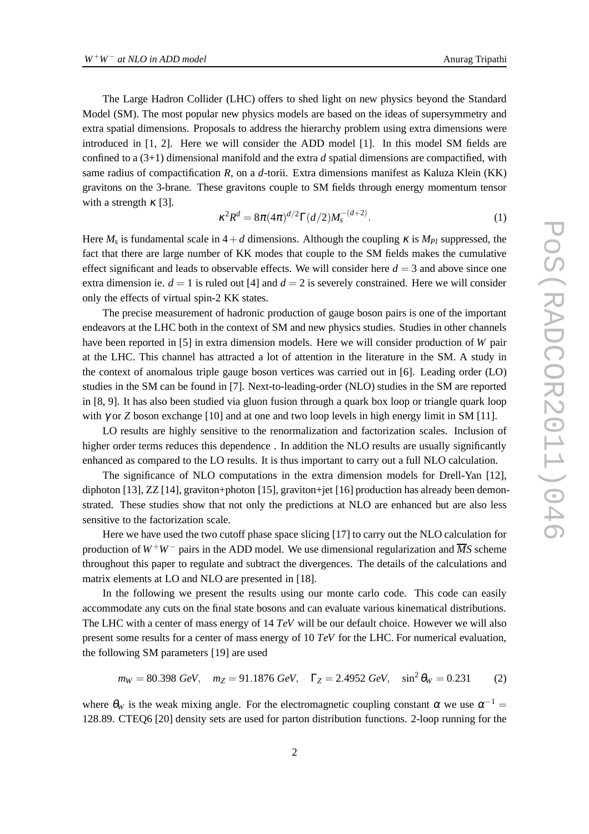The Large Hadron Collider (LHC) offers to shed light on new physics beyond the Standard Model (SM). The most popular new physics models are based on the ideas of supersymmetry and extra spatial dimensions. Proposals to address the hierarchy problem using extra dimensions were introduced in [1, 2]. Here we will consider the ADD model [1]. In this model SM fields are confined to a (3+1) dimensional manifold and the extra *d* spatial dimensions are compactified, with same radius of compactification *R*, on a *d*-torii. Extra dimensions manifest as Kaluza Klein (KK) gravitons on the 3-brane. These gravitons couple to SM fields through energy momentum tensor with a strength  $\kappa$  [3].

$$
\kappa^2 R^d = 8\pi (4\pi)^{d/2} \Gamma(d/2) M_s^{-(d+2)}.
$$
 (1)

Here  $M_s$  is fundamental scale in  $4+d$  dimensions. Although the coupling  $\kappa$  is  $M_{Pl}$  suppressed, the fact that there are large number of KK modes that couple to the SM fields makes the cumulative effect significant and leads to observable effects. We will consider here  $d = 3$  and above since one extra dimension ie.  $d = 1$  is ruled out [4] and  $d = 2$  is severely constrained. Here we will consider only the effects of virtual spin-2 KK states.

The precise measurement of hadronic production of gauge boson pairs is one of the important endeavors at the LHC both in the context of SM and new physics studies. Studies in other channels have been reported in [5] in extra dimension models. Here we will consider production of *W* pair at the LHC. This channel has attracted a lot of attention in the literature in the SM. A study in the context of anomalous triple gauge boson vertices was carried out in [6]. Leading order (LO) studies in the SM can be found in [7]. Next-to-leading-order (NLO) studies in the SM are reported in [8, 9]. It has also been studied via gluon fusion through a quark box loop or triangle quark loop with  $\gamma$  or *Z* boson exchange [10] and at one and two loop levels in high energy limit in SM [11].

LO results are highly sensitive to the renormalization and factorization scales. Inclusion of higher order terms reduces this dependence. In addition the NLO results are usually significantly enhanced as compared to the LO results. It is thus important to carry out a full NLO calculation.

The significance of NLO computations in the extra dimension models for Drell-Yan [12], diphoton [13], ZZ [14], graviton+photon [15], graviton+jet [16] production has already been demonstrated. These studies show that not only the predictions at NLO are enhanced but are also less sensitive to the factorization scale.

Here we have used the two cutoff phase space slicing [17] to carry out the NLO calculation for production of  $W^+W^-$  pairs in the ADD model. We use dimensional regularization and  $\overline{MS}$  scheme throughout this paper to regulate and subtract the divergences. The details of the calculations and matrix elements at LO and NLO are presented in [18].

In the following we present the results using our monte carlo code. This code can easily accommodate any cuts on the final state bosons and can evaluate various kinematical distributions. The LHC with a center of mass energy of 14 *TeV* will be our default choice. However we will also present some results for a center of mass energy of 10 *TeV* for the LHC. For numerical evaluation, the following SM parameters [19] are used

$$
m_W = 80.398 \text{ GeV}, \quad m_Z = 91.1876 \text{ GeV}, \quad \Gamma_Z = 2.4952 \text{ GeV}, \quad \sin^2 \theta_W = 0.231 \tag{2}
$$

where  $\theta_W$  is the weak mixing angle. For the electromagnetic coupling constant  $\alpha$  we use  $\alpha^{-1}$ 128.89. CTEQ6 [20] density sets are used for parton distribution functions. 2-loop running for the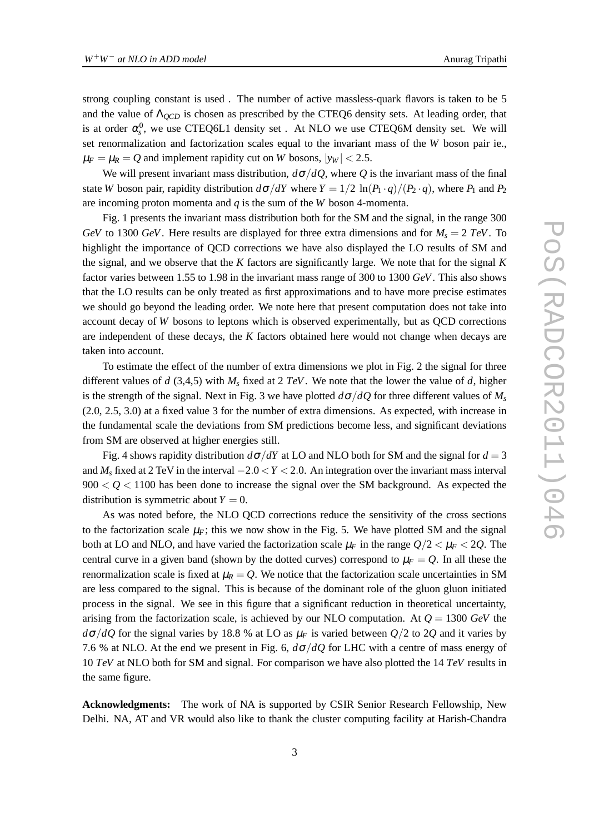strong coupling constant is used . The number of active massless-quark flavors is taken to be 5 and the value of Λ*QCD* is chosen as prescribed by the CTEQ6 density sets. At leading order, that is at order  $\alpha_s^0$ , we use CTEQ6L1 density set. At NLO we use CTEQ6M density set. We will set renormalization and factorization scales equal to the invariant mass of the *W* boson pair ie.,  $\mu_F = \mu_R = Q$  and implement rapidity cut on *W* bosons,  $|y_W| < 2.5$ .

We will present invariant mass distribution,  $d\sigma/dQ$ , where *Q* is the invariant mass of the final state *W* boson pair, rapidity distribution  $d\sigma/dY$  where  $Y = 1/2 \ln(P_1 \cdot q)/(P_2 \cdot q)$ , where  $P_1$  and  $P_2$ are incoming proton momenta and *q* is the sum of the *W* boson 4-momenta.

Fig. 1 presents the invariant mass distribution both for the SM and the signal, in the range 300 *GeV* to 1300 *GeV*. Here results are displayed for three extra dimensions and for  $M_s = 2 TeV$ . To highlight the importance of QCD corrections we have also displayed the LO results of SM and the signal, and we observe that the *K* factors are significantly large. We note that for the signal *K* factor varies between 1.55 to 1.98 in the invariant mass range of 300 to 1300 *GeV*. This also shows that the LO results can be only treated as first approximations and to have more precise estimates we should go beyond the leading order. We note here that present computation does not take into account decay of *W* bosons to leptons which is observed experimentally, but as QCD corrections are independent of these decays, the *K* factors obtained here would not change when decays are taken into account.

To estimate the effect of the number of extra dimensions we plot in Fig. 2 the signal for three different values of *d* (3,4,5) with *M<sup>s</sup>* fixed at 2 *TeV*. We note that the lower the value of *d*, higher is the strength of the signal. Next in Fig. 3 we have plotted  $d\sigma/dO$  for three different values of  $M_s$ (2.0, 2.5, 3.0) at a fixed value 3 for the number of extra dimensions. As expected, with increase in the fundamental scale the deviations from SM predictions become less, and significant deviations from SM are observed at higher energies still.

Fig. 4 shows rapidity distribution  $d\sigma/dY$  at LO and NLO both for SM and the signal for  $d = 3$ and *M<sup>s</sup>* fixed at 2 TeV in the interval −2.0 <*Y* < 2.0. An integration over the invariant mass interval  $900 < Q < 1100$  has been done to increase the signal over the SM background. As expected the distribution is symmetric about  $Y = 0$ .

As was noted before, the NLO QCD corrections reduce the sensitivity of the cross sections to the factorization scale  $\mu_F$ ; this we now show in the Fig. 5. We have plotted SM and the signal both at LO and NLO, and have varied the factorization scale  $\mu_F$  in the range  $Q/2 < \mu_F < 2Q$ . The central curve in a given band (shown by the dotted curves) correspond to  $\mu_F = Q$ . In all these the renormalization scale is fixed at  $\mu_R = Q$ . We notice that the factorization scale uncertainties in SM are less compared to the signal. This is because of the dominant role of the gluon gluon initiated process in the signal. We see in this figure that a significant reduction in theoretical uncertainty, arising from the factorization scale, is achieved by our NLO computation. At  $Q = 1300 \text{ GeV}$  the  $d\sigma/dQ$  for the signal varies by 18.8 % at LO as  $\mu_F$  is varied between  $Q/2$  to 2 $Q$  and it varies by 7.6 % at NLO. At the end we present in Fig. 6, *d*σ/*dQ* for LHC with a centre of mass energy of 10 *TeV* at NLO both for SM and signal. For comparison we have also plotted the 14 *TeV* results in the same figure.

**Acknowledgments:** The work of NA is supported by CSIR Senior Research Fellowship, New Delhi. NA, AT and VR would also like to thank the cluster computing facility at Harish-Chandra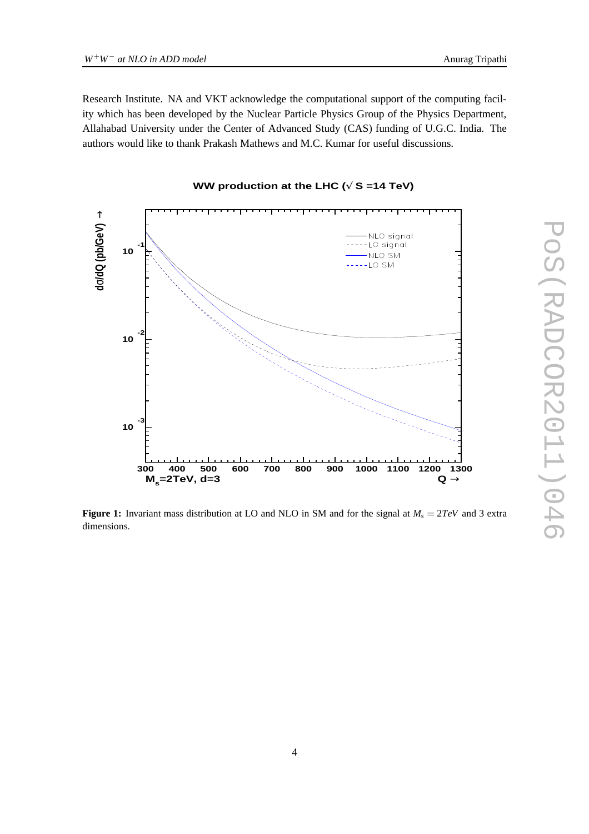Research Institute. NA and VKT acknowledge the computational support of the computing facility which has been developed by the Nuclear Particle Physics Group of the Physics Department, Allahabad University under the Center of Advanced Study (CAS) funding of U.G.C. India. The authors would like to thank Prakash Mathews and M.C. Kumar for useful discussions.



#### **WW production at the LHC (**√ **S =14 TeV)**

**Figure 1:** Invariant mass distribution at LO and NLO in SM and for the signal at *M<sup>s</sup>* = 2*TeV* and 3 extra dimensions.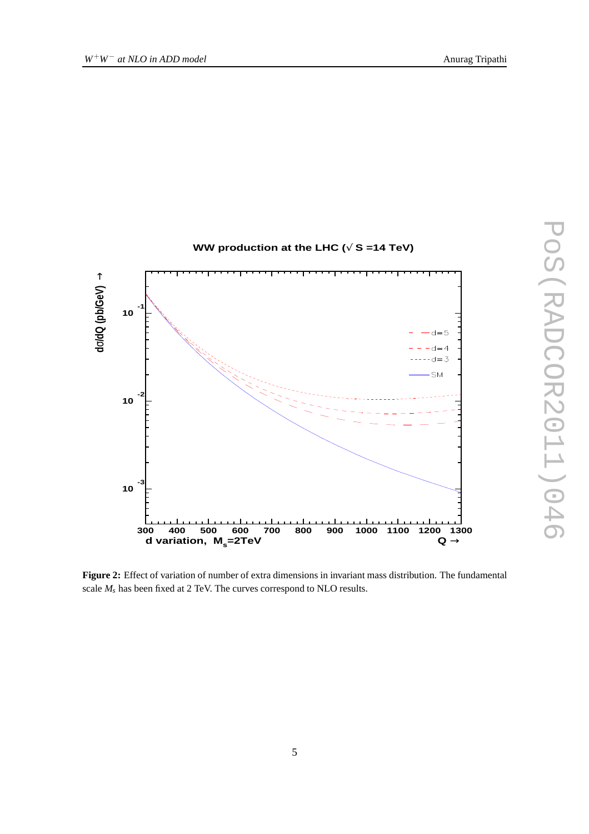



**Figure 2:** Effect of variation of number of extra dimensions in invariant mass distribution. The fundamental scale *M<sup>s</sup>* has been fixed at 2 TeV. The curves correspond to NLO results.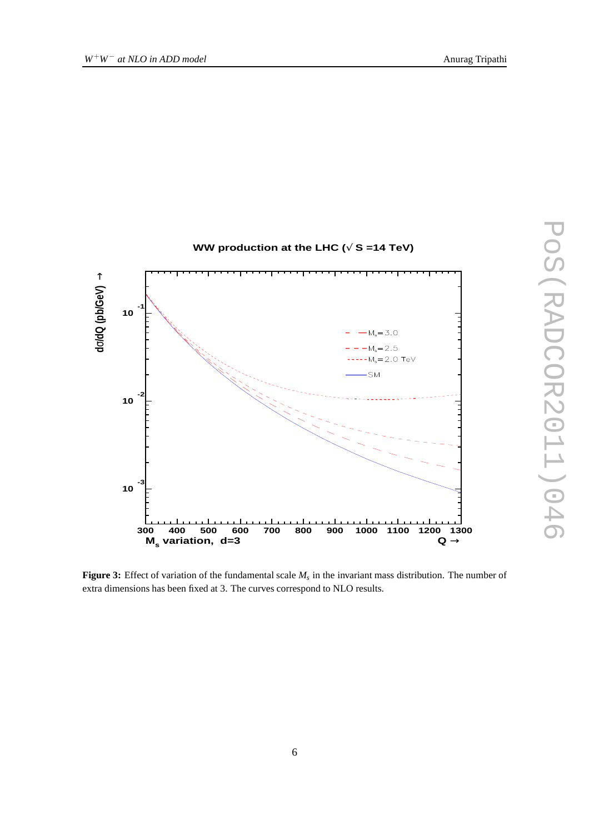

**Figure 3:** Effect of variation of the fundamental scale *M<sup>s</sup>* in the invariant mass distribution. The number of extra dimensions has been fixed at 3. The curves correspond to NLO results.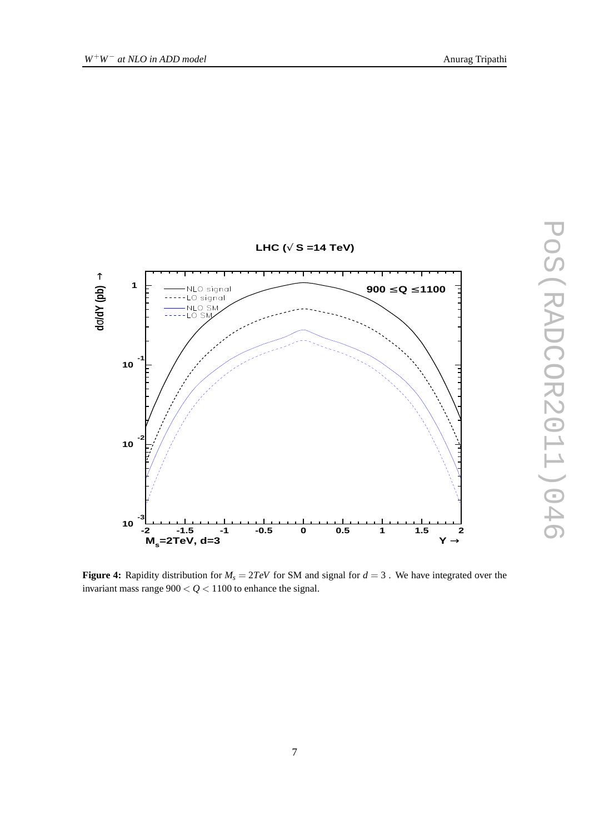

**Figure 4:** Rapidity distribution for  $M_s = 2TeV$  for SM and signal for  $d = 3$ . We have integrated over the invariant mass range  $900 < Q < 1100$  to enhance the signal.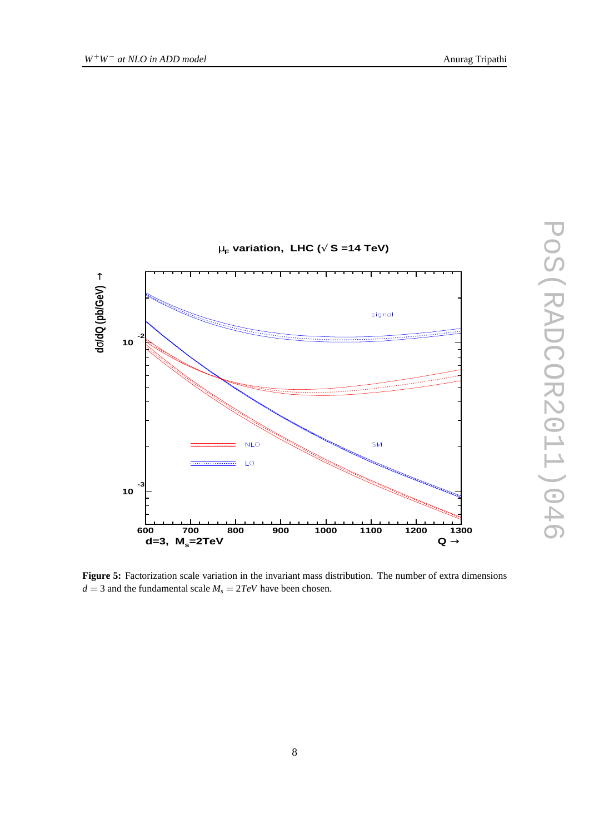

**Figure 5:** Factorization scale variation in the invariant mass distribution. The number of extra dimensions  $d = 3$  and the fundamental scale  $M_s = 2TeV$  have been chosen.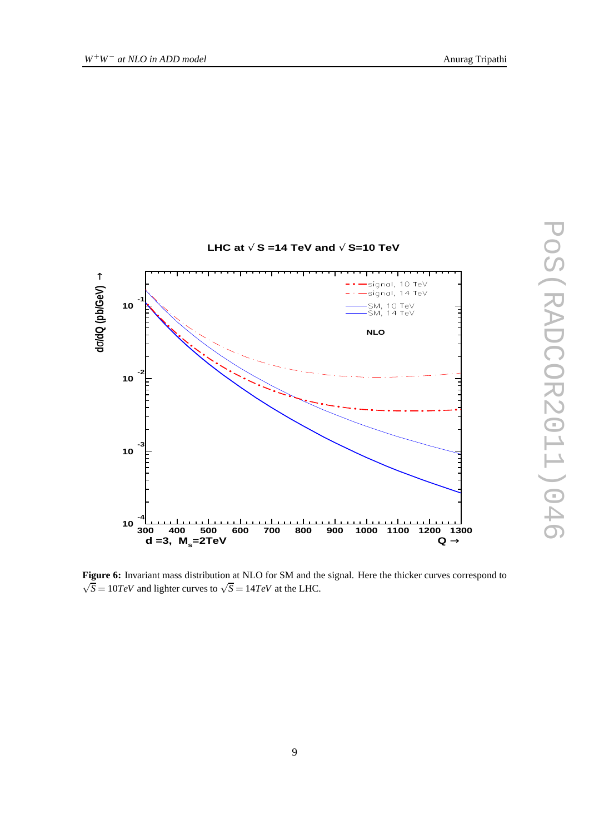

**Figure 6:** Invariant mass distribution at NLO for SM and the signal. Here the thicker curves correspond to  $\sqrt{\overline{S}} = 10 TeV$  and lighter curves to  $\sqrt{S} = 14 TeV$  at the LHC.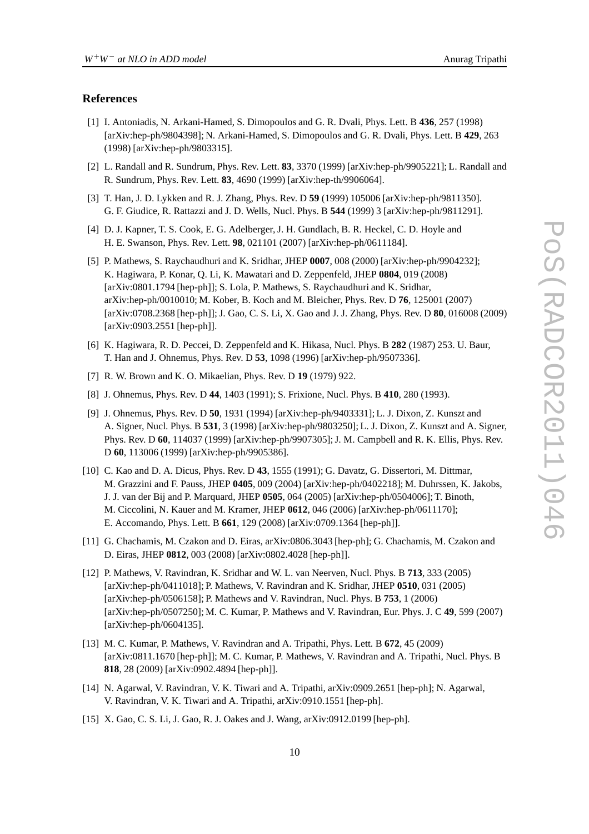#### **References**

- [1] I. Antoniadis, N. Arkani-Hamed, S. Dimopoulos and G. R. Dvali, Phys. Lett. B **436**, 257 (1998) [arXiv:hep-ph/9804398]; N. Arkani-Hamed, S. Dimopoulos and G. R. Dvali, Phys. Lett. B **429**, 263 (1998) [arXiv:hep-ph/9803315].
- [2] L. Randall and R. Sundrum, Phys. Rev. Lett. **83**, 3370 (1999) [arXiv:hep-ph/9905221]; L. Randall and R. Sundrum, Phys. Rev. Lett. **83**, 4690 (1999) [arXiv:hep-th/9906064].
- [3] T. Han, J. D. Lykken and R. J. Zhang, Phys. Rev. D **59** (1999) 105006 [arXiv:hep-ph/9811350]. G. F. Giudice, R. Rattazzi and J. D. Wells, Nucl. Phys. B **544** (1999) 3 [arXiv:hep-ph/9811291].
- [4] D. J. Kapner, T. S. Cook, E. G. Adelberger, J. H. Gundlach, B. R. Heckel, C. D. Hoyle and H. E. Swanson, Phys. Rev. Lett. **98**, 021101 (2007) [arXiv:hep-ph/0611184].
- [5] P. Mathews, S. Raychaudhuri and K. Sridhar, JHEP **0007**, 008 (2000) [arXiv:hep-ph/9904232]; K. Hagiwara, P. Konar, Q. Li, K. Mawatari and D. Zeppenfeld, JHEP **0804**, 019 (2008) [arXiv:0801.1794 [hep-ph]]; S. Lola, P. Mathews, S. Raychaudhuri and K. Sridhar, arXiv:hep-ph/0010010; M. Kober, B. Koch and M. Bleicher, Phys. Rev. D **76**, 125001 (2007) [arXiv:0708.2368 [hep-ph]]; J. Gao, C. S. Li, X. Gao and J. J. Zhang, Phys. Rev. D **80**, 016008 (2009) [arXiv:0903.2551 [hep-ph]].
- [6] K. Hagiwara, R. D. Peccei, D. Zeppenfeld and K. Hikasa, Nucl. Phys. B **282** (1987) 253. U. Baur, T. Han and J. Ohnemus, Phys. Rev. D **53**, 1098 (1996) [arXiv:hep-ph/9507336].
- [7] R. W. Brown and K. O. Mikaelian, Phys. Rev. D **19** (1979) 922.
- [8] J. Ohnemus, Phys. Rev. D **44**, 1403 (1991); S. Frixione, Nucl. Phys. B **410**, 280 (1993).
- [9] J. Ohnemus, Phys. Rev. D **50**, 1931 (1994) [arXiv:hep-ph/9403331]; L. J. Dixon, Z. Kunszt and A. Signer, Nucl. Phys. B **531**, 3 (1998) [arXiv:hep-ph/9803250]; L. J. Dixon, Z. Kunszt and A. Signer, Phys. Rev. D **60**, 114037 (1999) [arXiv:hep-ph/9907305]; J. M. Campbell and R. K. Ellis, Phys. Rev. D **60**, 113006 (1999) [arXiv:hep-ph/9905386].
- [10] C. Kao and D. A. Dicus, Phys. Rev. D **43**, 1555 (1991); G. Davatz, G. Dissertori, M. Dittmar, M. Grazzini and F. Pauss, JHEP **0405**, 009 (2004) [arXiv:hep-ph/0402218]; M. Duhrssen, K. Jakobs, J. J. van der Bij and P. Marquard, JHEP **0505**, 064 (2005) [arXiv:hep-ph/0504006]; T. Binoth, M. Ciccolini, N. Kauer and M. Kramer, JHEP **0612**, 046 (2006) [arXiv:hep-ph/0611170]; E. Accomando, Phys. Lett. B **661**, 129 (2008) [arXiv:0709.1364 [hep-ph]].
- [11] G. Chachamis, M. Czakon and D. Eiras, arXiv:0806.3043 [hep-ph]; G. Chachamis, M. Czakon and D. Eiras, JHEP **0812**, 003 (2008) [arXiv:0802.4028 [hep-ph]].
- [12] P. Mathews, V. Ravindran, K. Sridhar and W. L. van Neerven, Nucl. Phys. B **713**, 333 (2005) [arXiv:hep-ph/0411018]; P. Mathews, V. Ravindran and K. Sridhar, JHEP **0510**, 031 (2005) [arXiv:hep-ph/0506158]; P. Mathews and V. Ravindran, Nucl. Phys. B **753**, 1 (2006) [arXiv:hep-ph/0507250]; M. C. Kumar, P. Mathews and V. Ravindran, Eur. Phys. J. C **49**, 599 (2007) [arXiv:hep-ph/0604135].
- [13] M. C. Kumar, P. Mathews, V. Ravindran and A. Tripathi, Phys. Lett. B **672**, 45 (2009) [arXiv:0811.1670 [hep-ph]]; M. C. Kumar, P. Mathews, V. Ravindran and A. Tripathi, Nucl. Phys. B **818**, 28 (2009) [arXiv:0902.4894 [hep-ph]].
- [14] N. Agarwal, V. Ravindran, V. K. Tiwari and A. Tripathi, arXiv:0909.2651 [hep-ph]; N. Agarwal, V. Ravindran, V. K. Tiwari and A. Tripathi, arXiv:0910.1551 [hep-ph].
- [15] X. Gao, C. S. Li, J. Gao, R. J. Oakes and J. Wang, arXiv:0912.0199 [hep-ph].